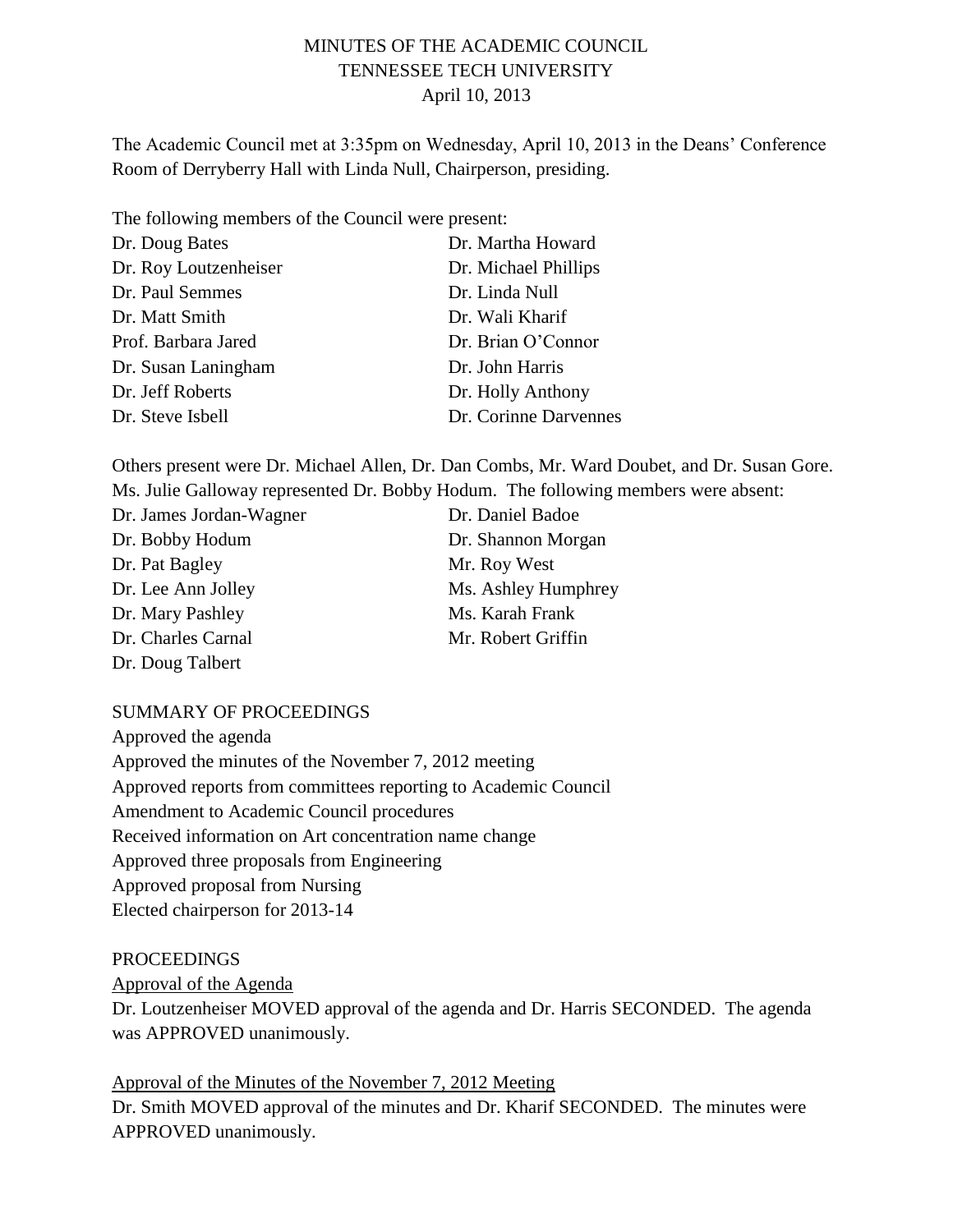# MINUTES OF THE ACADEMIC COUNCIL TENNESSEE TECH UNIVERSITY April 10, 2013

The Academic Council met at 3:35pm on Wednesday, April 10, 2013 in the Deans' Conference Room of Derryberry Hall with Linda Null, Chairperson, presiding.

The following members of the Council were present:

| Dr. Doug Bates        | Dr. Martha Howard     |
|-----------------------|-----------------------|
| Dr. Roy Loutzenheiser | Dr. Michael Phillips  |
| Dr. Paul Semmes       | Dr. Linda Null        |
| Dr. Matt Smith        | Dr. Wali Kharif       |
| Prof. Barbara Jared   | Dr. Brian O'Connor    |
| Dr. Susan Laningham   | Dr. John Harris       |
| Dr. Jeff Roberts      | Dr. Holly Anthony     |
| Dr. Steve Isbell      | Dr. Corinne Darvennes |

Others present were Dr. Michael Allen, Dr. Dan Combs, Mr. Ward Doubet, and Dr. Susan Gore. Ms. Julie Galloway represented Dr. Bobby Hodum. The following members were absent:

| Dr. James Jordan-Wagner | Dr. Daniel Badoe    |
|-------------------------|---------------------|
| Dr. Bobby Hodum         | Dr. Shannon Morgan  |
| Dr. Pat Bagley          | Mr. Roy West        |
| Dr. Lee Ann Jolley      | Ms. Ashley Humphrey |
| Dr. Mary Pashley        | Ms. Karah Frank     |
| Dr. Charles Carnal      | Mr. Robert Griffin  |
| Dr. Doug Talbert        |                     |
|                         |                     |

#### SUMMARY OF PROCEEDINGS

Approved the agenda Approved the minutes of the November 7, 2012 meeting Approved reports from committees reporting to Academic Council Amendment to Academic Council procedures Received information on Art concentration name change Approved three proposals from Engineering Approved proposal from Nursing Elected chairperson for 2013-14

#### PROCEEDINGS

Approval of the Agenda

Dr. Loutzenheiser MOVED approval of the agenda and Dr. Harris SECONDED. The agenda was APPROVED unanimously.

Approval of the Minutes of the November 7, 2012 Meeting Dr. Smith MOVED approval of the minutes and Dr. Kharif SECONDED. The minutes were APPROVED unanimously.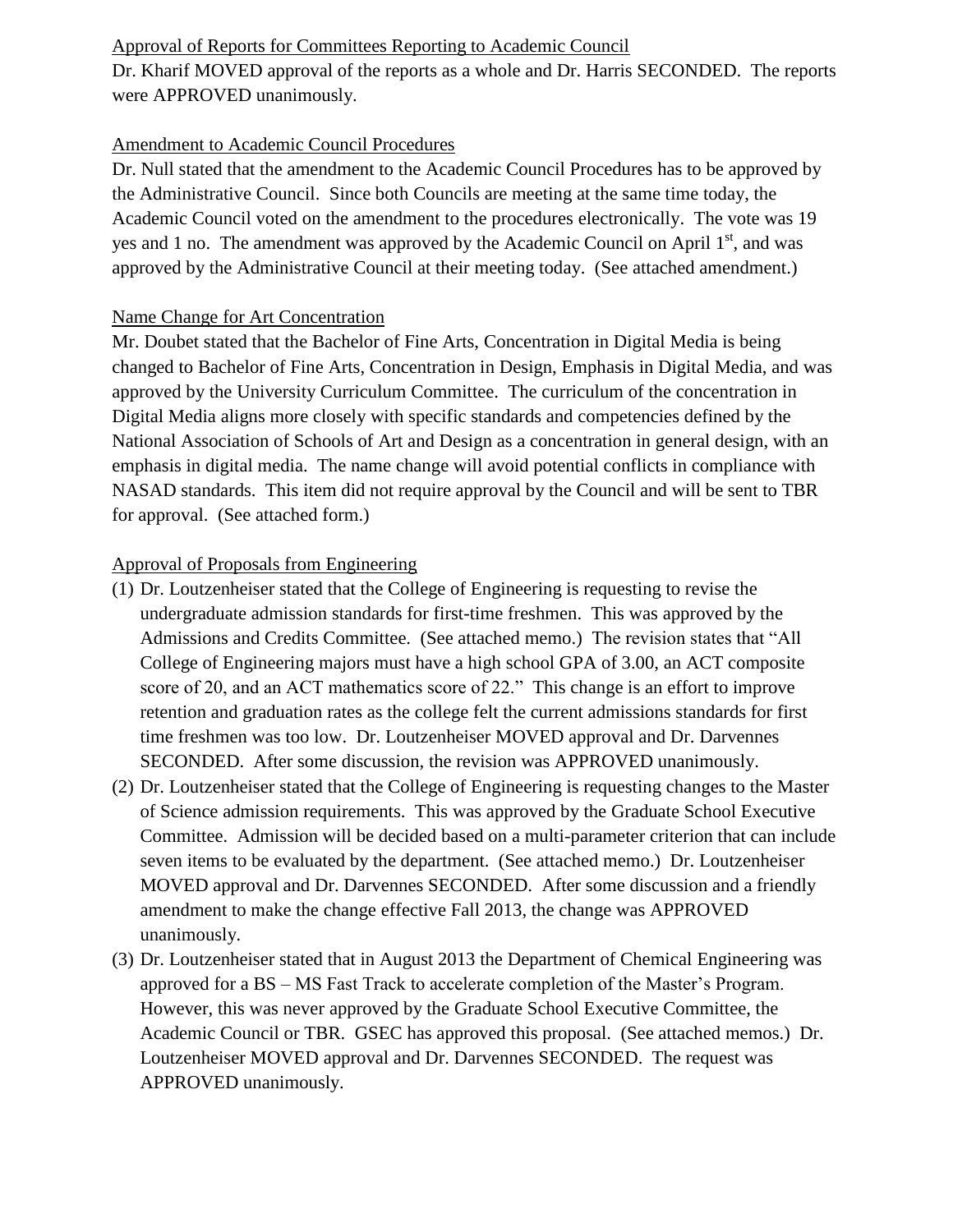### Approval of Reports for Committees Reporting to Academic Council

Dr. Kharif MOVED approval of the reports as a whole and Dr. Harris SECONDED. The reports were APPROVED unanimously.

## Amendment to Academic Council Procedures

Dr. Null stated that the amendment to the Academic Council Procedures has to be approved by the Administrative Council. Since both Councils are meeting at the same time today, the Academic Council voted on the amendment to the procedures electronically. The vote was 19 yes and 1 no. The amendment was approved by the Academic Council on April  $1<sup>st</sup>$ , and was approved by the Administrative Council at their meeting today. (See attached amendment.)

#### Name Change for Art Concentration

Mr. Doubet stated that the Bachelor of Fine Arts, Concentration in Digital Media is being changed to Bachelor of Fine Arts, Concentration in Design, Emphasis in Digital Media, and was approved by the University Curriculum Committee. The curriculum of the concentration in Digital Media aligns more closely with specific standards and competencies defined by the National Association of Schools of Art and Design as a concentration in general design, with an emphasis in digital media. The name change will avoid potential conflicts in compliance with NASAD standards. This item did not require approval by the Council and will be sent to TBR for approval. (See attached form.)

## Approval of Proposals from Engineering

- (1) Dr. Loutzenheiser stated that the College of Engineering is requesting to revise the undergraduate admission standards for first-time freshmen. This was approved by the Admissions and Credits Committee. (See attached memo.) The revision states that "All College of Engineering majors must have a high school GPA of 3.00, an ACT composite score of 20, and an ACT mathematics score of 22." This change is an effort to improve retention and graduation rates as the college felt the current admissions standards for first time freshmen was too low. Dr. Loutzenheiser MOVED approval and Dr. Darvennes SECONDED. After some discussion, the revision was APPROVED unanimously.
- (2) Dr. Loutzenheiser stated that the College of Engineering is requesting changes to the Master of Science admission requirements. This was approved by the Graduate School Executive Committee. Admission will be decided based on a multi-parameter criterion that can include seven items to be evaluated by the department. (See attached memo.) Dr. Loutzenheiser MOVED approval and Dr. Darvennes SECONDED. After some discussion and a friendly amendment to make the change effective Fall 2013, the change was APPROVED unanimously.
- (3) Dr. Loutzenheiser stated that in August 2013 the Department of Chemical Engineering was approved for a BS – MS Fast Track to accelerate completion of the Master's Program. However, this was never approved by the Graduate School Executive Committee, the Academic Council or TBR. GSEC has approved this proposal. (See attached memos.) Dr. Loutzenheiser MOVED approval and Dr. Darvennes SECONDED. The request was APPROVED unanimously.